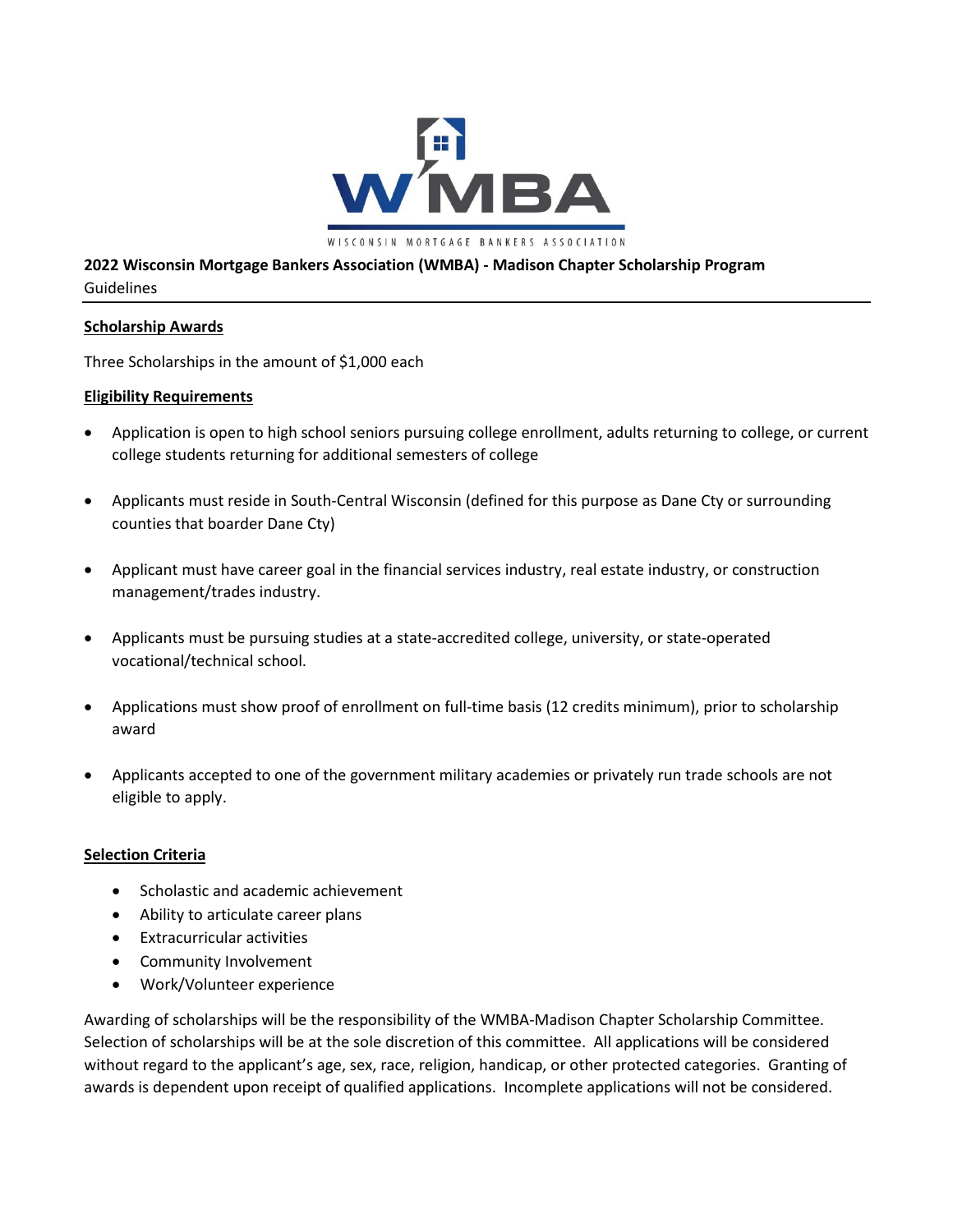

# **2022 Wisconsin Mortgage Bankers Association (WMBA) - Madison Chapter Scholarship Program** Guidelines

### **Scholarship Awards**

Three Scholarships in the amount of \$1,000 each

### **Eligibility Requirements**

- Application is open to high school seniors pursuing college enrollment, adults returning to college, or current college students returning for additional semesters of college
- Applicants must reside in South-Central Wisconsin (defined for this purpose as Dane Cty or surrounding counties that boarder Dane Cty)
- Applicant must have career goal in the financial services industry, real estate industry, or construction management/trades industry.
- Applicants must be pursuing studies at a state-accredited college, university, or state-operated vocational/technical school.
- Applications must show proof of enrollment on full-time basis (12 credits minimum), prior to scholarship award
- Applicants accepted to one of the government military academies or privately run trade schools are not eligible to apply.

### **Selection Criteria**

- Scholastic and academic achievement
- Ability to articulate career plans
- Extracurricular activities
- Community Involvement
- Work/Volunteer experience

Awarding of scholarships will be the responsibility of the WMBA-Madison Chapter Scholarship Committee. Selection of scholarships will be at the sole discretion of this committee. All applications will be considered without regard to the applicant's age, sex, race, religion, handicap, or other protected categories. Granting of awards is dependent upon receipt of qualified applications. Incomplete applications will not be considered.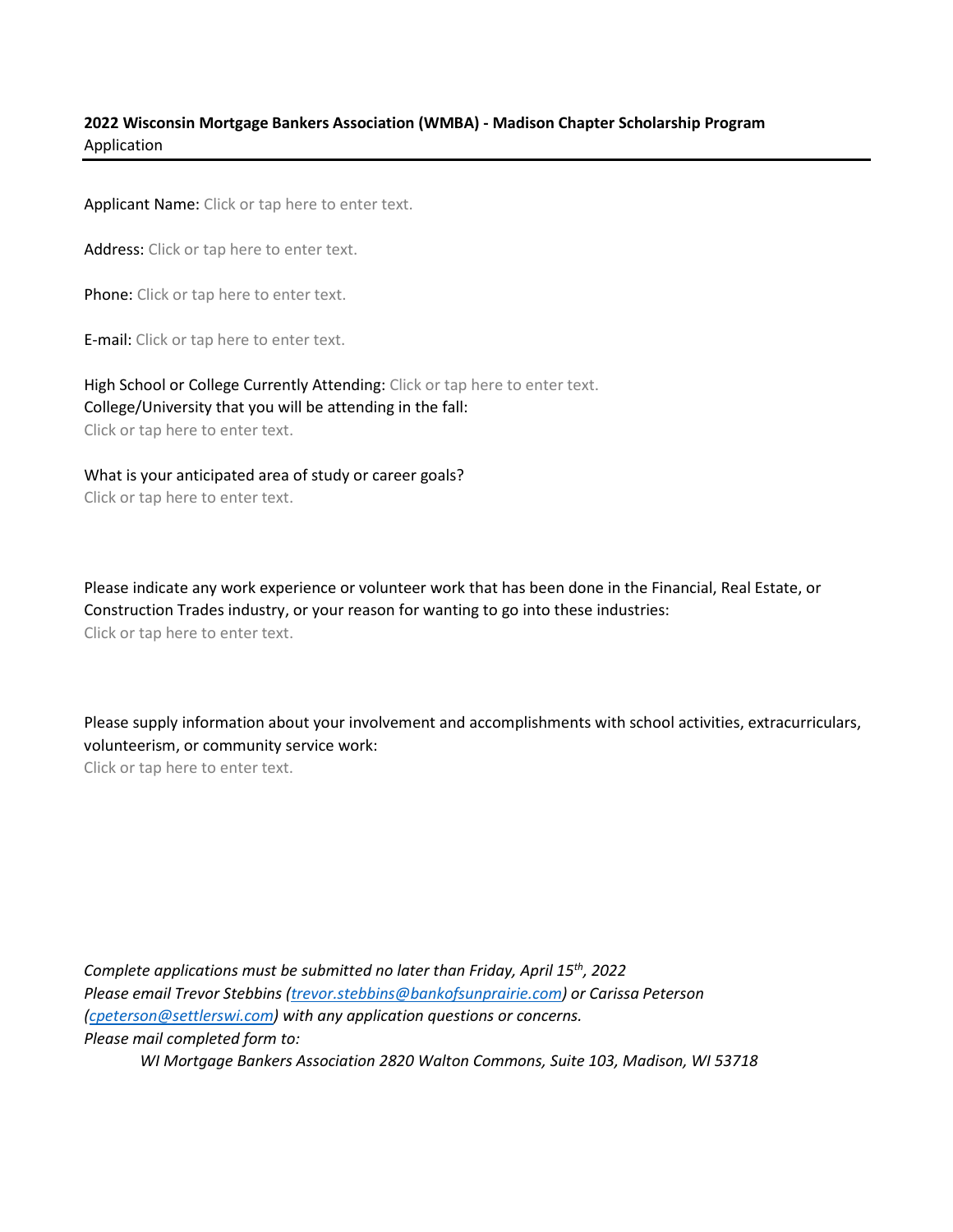## **2022 Wisconsin Mortgage Bankers Association (WMBA) - Madison Chapter Scholarship Program** Application

Applicant Name: Click or tap here to enter text.

Address: Click or tap here to enter text.

Phone: Click or tap here to enter text.

E-mail: Click or tap here to enter text.

High School or College Currently Attending: Click or tap here to enter text. College/University that you will be attending in the fall: Click or tap here to enter text.

What is your anticipated area of study or career goals? Click or tap here to enter text.

Please indicate any work experience or volunteer work that has been done in the Financial, Real Estate, or Construction Trades industry, or your reason for wanting to go into these industries: Click or tap here to enter text.

Please supply information about your involvement and accomplishments with school activities, extracurriculars, volunteerism, or community service work:

Click or tap here to enter text.

*Complete applications must be submitted no later than Friday, April 15th, 2022 Please email Trevor Stebbins [\(trevor.stebbins@bankofsunprairie.com\)](mailto:trevor.stebbins@bankofsunprairie.com) or Carissa Peterson [\(cpeterson@settlerswi.com\)](mailto:cpeterson@settlerswi.com) with any application questions or concerns. Please mail completed form to:*

*WI Mortgage Bankers Association 2820 Walton Commons, Suite 103, Madison, WI 53718*